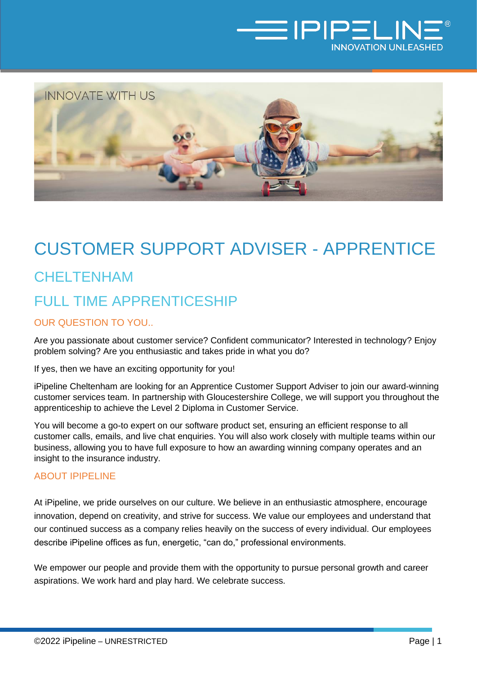



## CUSTOMER SUPPORT ADVISER - APPRENTICE

# CHELTENHAM FULL TIME APPRENTICESHIP

#### OUR QUESTION TO YOU..

Are you passionate about customer service? Confident communicator? Interested in technology? Enjoy problem solving? Are you enthusiastic and takes pride in what you do?

If yes, then we have an exciting opportunity for you!

iPipeline Cheltenham are looking for an Apprentice Customer Support Adviser to join our award-winning customer services team. In partnership with Gloucestershire College, we will support you throughout the apprenticeship to achieve the Level 2 Diploma in Customer Service.

You will become a go-to expert on our software product set, ensuring an efficient response to all customer calls, emails, and live chat enquiries. You will also work closely with multiple teams within our business, allowing you to have full exposure to how an awarding winning company operates and an insight to the insurance industry.

#### ABOUT IPIPELINE

At iPipeline, we pride ourselves on our culture. We believe in an enthusiastic atmosphere, encourage innovation, depend on creativity, and strive for success. We value our employees and understand that our continued success as a company relies heavily on the success of every individual. Our employees describe iPipeline offices as fun, energetic, "can do," professional environments.

We empower our people and provide them with the opportunity to pursue personal growth and career aspirations. We work hard and play hard. We celebrate success.